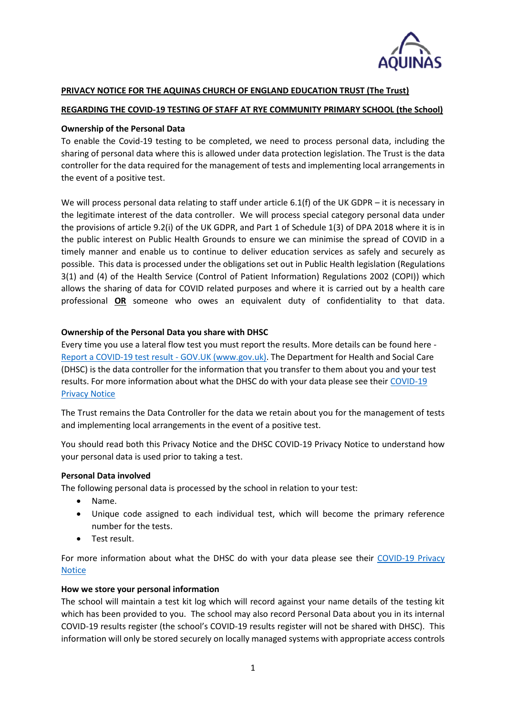

## **PRIVACY NOTICE FOR THE AQUINAS CHURCH OF ENGLAND EDUCATION TRUST (The Trust)**

## **REGARDING THE COVID-19 TESTING OF STAFF AT RYE COMMUNITY PRIMARY SCHOOL (the School)**

### **Ownership of the Personal Data**

To enable the Covid-19 testing to be completed, we need to process personal data, including the sharing of personal data where this is allowed under data protection legislation. The Trust is the data controller for the data required for the management of tests and implementing local arrangements in the event of a positive test.

We will process personal data relating to staff under article 6.1(f) of the UK GDPR – it is necessary in the legitimate interest of the data controller. We will process special category personal data under the provisions of article 9.2(i) of the UK GDPR, and Part 1 of Schedule 1(3) of DPA 2018 where it is in the public interest on Public Health Grounds to ensure we can minimise the spread of COVID in a timely manner and enable us to continue to deliver education services as safely and securely as possible. This data is processed under the obligations set out in Public Health legislation (Regulations 3(1) and (4) of the Health Service (Control of Patient Information) Regulations 2002 (COPI)) which allows the sharing of data for COVID related purposes and where it is carried out by a health care professional **OR** someone who owes an equivalent duty of confidentiality to that data.

### **Ownership of the Personal Data you share with DHSC**

Every time you use a lateral flow test you must report the results. More details can be found here - [Report a COVID-19 test result -](https://www.gov.uk/report-covid19-result) GOV.UK (www.gov.uk). The Department for Health and Social Care (DHSC) is the data controller for the information that you transfer to them about you and your test results. For more information about what the DHSC do with your data please see their [COVID-19](https://www.gov.uk/government/publications/coronavirus-covid-19-testing-privacy-information)  **[Privacy Notice](https://www.gov.uk/government/publications/coronavirus-covid-19-testing-privacy-information)** 

The Trust remains the Data Controller for the data we retain about you for the management of tests and implementing local arrangements in the event of a positive test.

You should read both this Privacy Notice and the DHSC COVID-19 Privacy Notice to understand how your personal data is used prior to taking a test.

#### **Personal Data involved**

The following personal data is processed by the school in relation to your test:

- Name.
- Unique code assigned to each individual test, which will become the primary reference number for the tests.
- Test result.

For more information about what the DHSC do with your data please see their [COVID-19 Privacy](https://www.gov.uk/government/publications/coronavirus-covid-19-testing-privacy-information)  **[Notice](https://www.gov.uk/government/publications/coronavirus-covid-19-testing-privacy-information)** 

#### **How we store your personal information**

The school will maintain a test kit log which will record against your name details of the testing kit which has been provided to you. The school may also record Personal Data about you in its internal COVID-19 results register (the school's COVID-19 results register will not be shared with DHSC). This information will only be stored securely on locally managed systems with appropriate access controls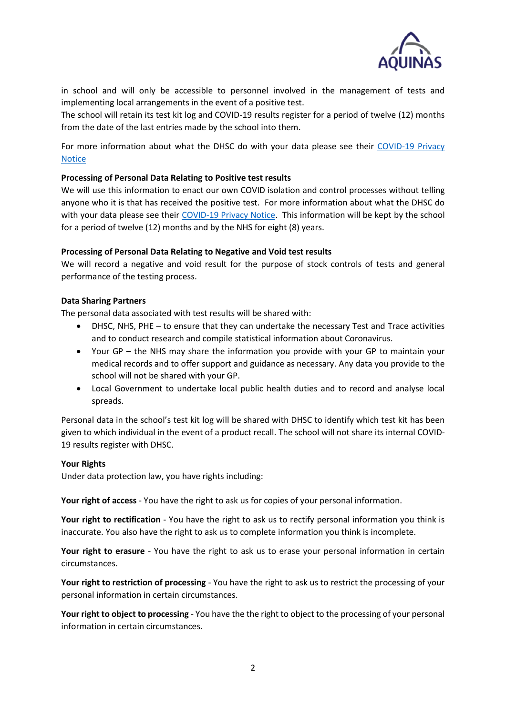

in school and will only be accessible to personnel involved in the management of tests and implementing local arrangements in the event of a positive test.

The school will retain its test kit log and COVID-19 results register for a period of twelve (12) months from the date of the last entries made by the school into them.

For more information about what the DHSC do with your data please see their [COVID-19 Privacy](https://www.gov.uk/government/publications/coronavirus-covid-19-testing-privacy-information)  [Notice](https://www.gov.uk/government/publications/coronavirus-covid-19-testing-privacy-information)

## **Processing of Personal Data Relating to Positive test results**

We will use this information to enact our own COVID isolation and control processes without telling anyone who it is that has received the positive test. For more information about what the DHSC do with your data please see their [COVID-19 Privacy Notice.](https://www.gov.uk/government/publications/coronavirus-covid-19-testing-privacy-information) This information will be kept by the school for a period of twelve (12) months and by the NHS for eight (8) years.

# **Processing of Personal Data Relating to Negative and Void test results**

We will record a negative and void result for the purpose of stock controls of tests and general performance of the testing process.

# **Data Sharing Partners**

The personal data associated with test results will be shared with:

- DHSC, NHS, PHE to ensure that they can undertake the necessary Test and Trace activities and to conduct research and compile statistical information about Coronavirus.
- Your GP the NHS may share the information you provide with your GP to maintain your medical records and to offer support and guidance as necessary. Any data you provide to the school will not be shared with your GP.
- Local Government to undertake local public health duties and to record and analyse local spreads.

Personal data in the school's test kit log will be shared with DHSC to identify which test kit has been given to which individual in the event of a product recall. The school will not share its internal COVID-19 results register with DHSC.

## **Your Rights**

Under data protection law, you have rights including:

**Your right of access** - You have the right to ask us for copies of your personal information.

**Your right to rectification** - You have the right to ask us to rectify personal information you think is inaccurate. You also have the right to ask us to complete information you think is incomplete.

**Your right to erasure** - You have the right to ask us to erase your personal information in certain circumstances.

**Your right to restriction of processing** - You have the right to ask us to restrict the processing of your personal information in certain circumstances.

**Your right to object to processing** - You have the the right to object to the processing of your personal information in certain circumstances.